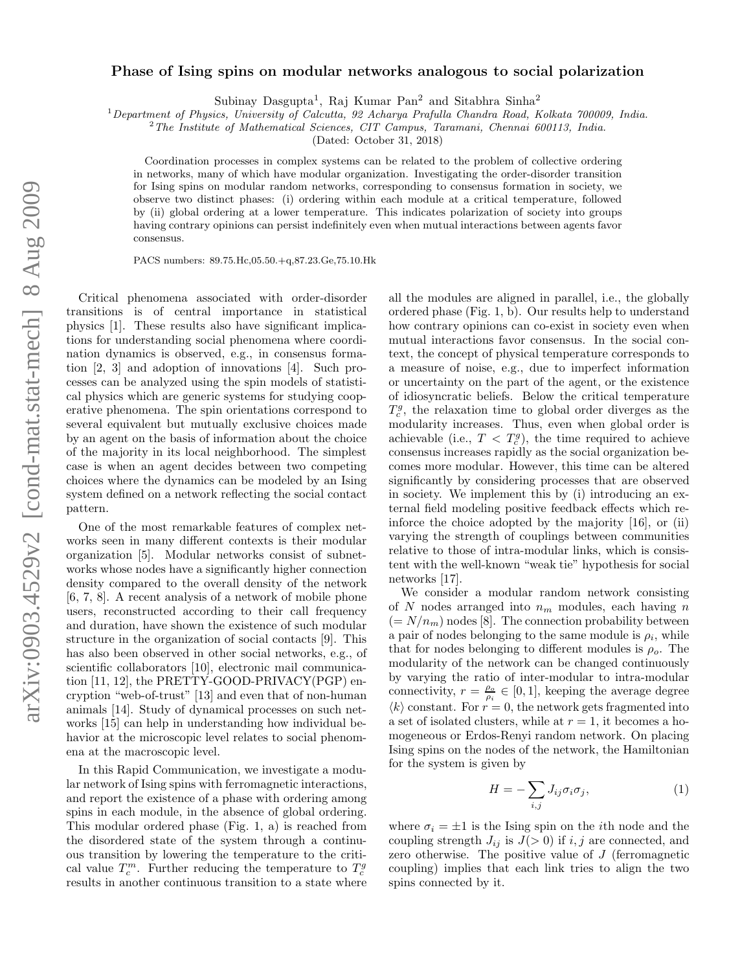## Phase of Ising spins on modular networks analogous to social polarization

Subinay Dasgupta<sup>1</sup>, Raj Kumar Pan<sup>2</sup> and Sitabhra Sinha<sup>2</sup>

<sup>1</sup> Department of Physics, University of Calcutta, 92 Acharya Prafulla Chandra Road, Kolkata 700009, India.

<sup>2</sup>The Institute of Mathematical Sciences, CIT Campus, Taramani, Chennai 600113, India.

(Dated: October 31, 2018)

Coordination processes in complex systems can be related to the problem of collective ordering in networks, many of which have modular organization. Investigating the order-disorder transition for Ising spins on modular random networks, corresponding to consensus formation in society, we observe two distinct phases: (i) ordering within each module at a critical temperature, followed by (ii) global ordering at a lower temperature. This indicates polarization of society into groups having contrary opinions can persist indefinitely even when mutual interactions between agents favor consensus.

PACS numbers: 89.75.Hc,05.50.+q,87.23.Ge,75.10.Hk

Critical phenomena associated with order-disorder transitions is of central importance in statistical physics [1]. These results also have significant implications for understanding social phenomena where coordination dynamics is observed, e.g., in consensus formation [2, 3] and adoption of innovations [4]. Such processes can be analyzed using the spin models of statistical physics which are generic systems for studying cooperative phenomena. The spin orientations correspond to several equivalent but mutually exclusive choices made by an agent on the basis of information about the choice of the majority in its local neighborhood. The simplest case is when an agent decides between two competing choices where the dynamics can be modeled by an Ising system defined on a network reflecting the social contact pattern.

One of the most remarkable features of complex networks seen in many different contexts is their modular organization [5]. Modular networks consist of subnetworks whose nodes have a significantly higher connection density compared to the overall density of the network [6, 7, 8]. A recent analysis of a network of mobile phone users, reconstructed according to their call frequency and duration, have shown the existence of such modular structure in the organization of social contacts [9]. This has also been observed in other social networks, e.g., of scientific collaborators [10], electronic mail communication [11, 12], the PRETTY-GOOD-PRIVACY(PGP) encryption "web-of-trust" [13] and even that of non-human animals [14]. Study of dynamical processes on such networks [15] can help in understanding how individual behavior at the microscopic level relates to social phenomena at the macroscopic level.

In this Rapid Communication, we investigate a modular network of Ising spins with ferromagnetic interactions, and report the existence of a phase with ordering among spins in each module, in the absence of global ordering. This modular ordered phase (Fig. 1, a) is reached from the disordered state of the system through a continuous transition by lowering the temperature to the critical value  $T_c^m$ . Further reducing the temperature to  $T_c^g$ results in another continuous transition to a state where

all the modules are aligned in parallel, i.e., the globally ordered phase (Fig. 1, b). Our results help to understand how contrary opinions can co-exist in society even when mutual interactions favor consensus. In the social context, the concept of physical temperature corresponds to a measure of noise, e.g., due to imperfect information or uncertainty on the part of the agent, or the existence of idiosyncratic beliefs. Below the critical temperature  $T_c^g$ , the relaxation time to global order diverges as the modularity increases. Thus, even when global order is achievable (i.e.,  $T < T_c^g$ ), the time required to achieve consensus increases rapidly as the social organization becomes more modular. However, this time can be altered significantly by considering processes that are observed in society. We implement this by (i) introducing an external field modeling positive feedback effects which reinforce the choice adopted by the majority [16], or (ii) varying the strength of couplings between communities relative to those of intra-modular links, which is consistent with the well-known "weak tie" hypothesis for social networks [17].

We consider a modular random network consisting of  $N$  nodes arranged into  $n_m$  modules, each having  $n$  $(= N/n_m)$  nodes [8]. The connection probability between a pair of nodes belonging to the same module is  $\rho_i$ , while that for nodes belonging to different modules is  $\rho_o$ . The modularity of the network can be changed continuously by varying the ratio of inter-modular to intra-modular connectivity,  $r = \frac{\rho_o}{\rho_i} \in [0, 1]$ , keeping the average degree  $\langle k \rangle$  constant. For  $r = 0$ , the network gets fragmented into a set of isolated clusters, while at  $r = 1$ , it becomes a homogeneous or Erdos-Renyi random network. On placing Ising spins on the nodes of the network, the Hamiltonian for the system is given by

$$
H = -\sum_{i,j} J_{ij}\sigma_i\sigma_j,\tag{1}
$$

where  $\sigma_i = \pm 1$  is the Ising spin on the *i*th node and the coupling strength  $J_{ij}$  is  $J(>0)$  if i, j are connected, and zero otherwise. The positive value of  $J$  (ferromagnetic coupling) implies that each link tries to align the two spins connected by it.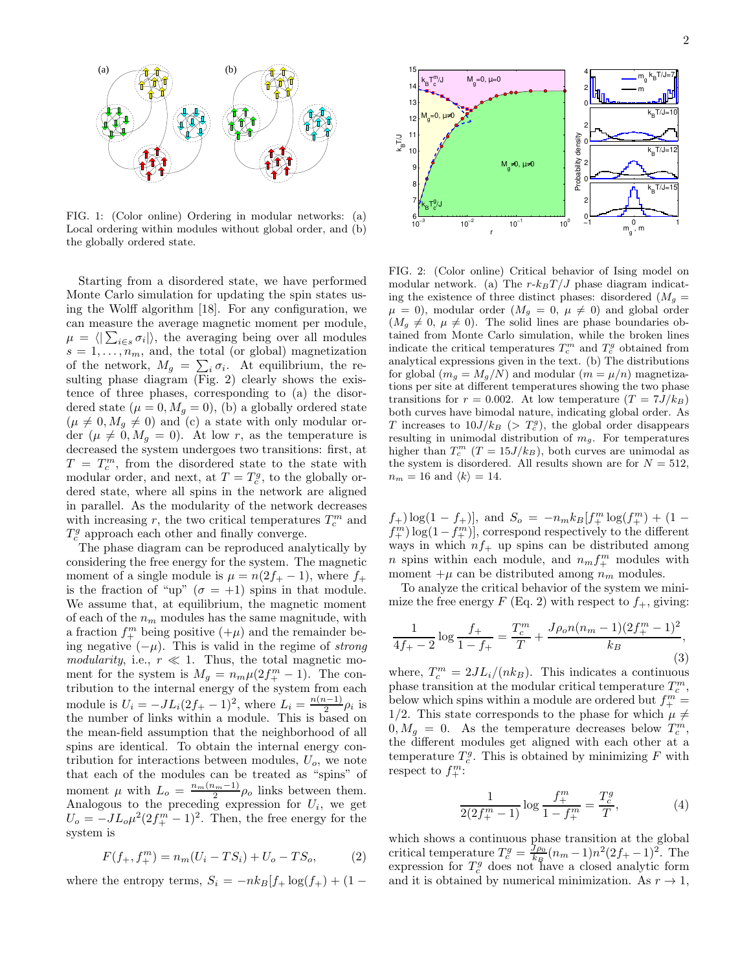

FIG. 1: (Color online) Ordering in modular networks: (a) Local ordering within modules without global order, and (b) the globally ordered state.

Starting from a disordered state, we have performed Monte Carlo simulation for updating the spin states using the Wolff algorithm [18]. For any configuration, we can measure the average magnetic moment per module,  $\mu = \langle \left| \sum_{i \in s} \sigma_i \right| \rangle$ , the averaging being over all modules  $s = 1, \ldots, n_m$ , and, the total (or global) magnetization of the network,  $M_g = \sum_i \sigma_i$ . At equilibrium, the resulting phase diagram (Fig. 2) clearly shows the existence of three phases, corresponding to (a) the disordered state  $(\mu = 0, M_g = 0)$ , (b) a globally ordered state  $(\mu \neq 0, M_g \neq 0)$  and (c) a state with only modular order  $(\mu \neq 0, M_g = 0)$ . At low r, as the temperature is decreased the system undergoes two transitions: first, at  $T = T_c^m$ , from the disordered state to the state with modular order, and next, at  $T=T_c^g$ , to the globally ordered state, where all spins in the network are aligned in parallel. As the modularity of the network decreases with increasing  $r$ , the two critical temperatures  $T_c^m$  and  $T_c^g$  approach each other and finally converge.

The phase diagram can be reproduced analytically by considering the free energy for the system. The magnetic moment of a single module is  $\mu = n(2f_{+} - 1)$ , where  $f_{+}$ is the fraction of "up" ( $\sigma = +1$ ) spins in that module. We assume that, at equilibrium, the magnetic moment of each of the  $n_m$  modules has the same magnitude, with a fraction  $f_+^m$  being positive  $(+\mu)$  and the remainder being negative  $(-\mu)$ . This is valid in the regime of *strong* modularity, i.e.,  $r \ll 1$ . Thus, the total magnetic moment for the system is  $M_g = n_m \mu (2f_+^m - 1)$ . The contribution to the internal energy of the system from each module is  $U_i = -JL_i(2f_+ - 1)^2$ , where  $L_i = \frac{n(n-1)}{2}$  $\frac{i-1}{2}\rho_i$  is the number of links within a module. This is based on the mean-field assumption that the neighborhood of all spins are identical. To obtain the internal energy contribution for interactions between modules,  $U<sub>o</sub>$ , we note that each of the modules can be treated as "spins" of moment  $\mu$  with  $L_o = \frac{n_m(n_m-1)}{2}$  $\frac{\mu_m-1}{2}\rho_o$  links between them. Analogous to the preceding expression for  $U_i$ , we get  $U_o = -JL_o\mu^2(2f_+^m - 1)^2$ . Then, the free energy for the system is

$$
F(f_{+}, f_{+}^{m}) = n_{m}(U_{i} - TS_{i}) + U_{o} - TS_{o}, \qquad (2)
$$

where the entropy terms,  $S_i = -nk_B[f_+ \log(f_+) + (1 -$ 



FIG. 2: (Color online) Critical behavior of Ising model on modular network. (a) The  $r-k_BT/J$  phase diagram indicating the existence of three distinct phases: disordered  $(M_g =$  $\mu = 0$ , modular order  $(M_g = 0, \mu \neq 0)$  and global order  $(M_g \neq 0, \mu \neq 0)$ . The solid lines are phase boundaries obtained from Monte Carlo simulation, while the broken lines indicate the critical temperatures  $T_c^m$  and  $T_c^g$  obtained from analytical expressions given in the text. (b) The distributions for global  $(m_g = M_g/N)$  and modular  $(m = \mu/n)$  magnetizations per site at different temperatures showing the two phase transitions for  $r = 0.002$ . At low temperature  $(T = 7J/k_B)$ both curves have bimodal nature, indicating global order. As T increases to  $10J/k_B$  (>  $T_c^g$ ), the global order disappears resulting in unimodal distribution of  $m_g$ . For temperatures higher than  $T_c^m$  ( $T = 15J/k_B$ ), both curves are unimodal as the system is disordered. All results shown are for  $N = 512$ ,  $n_m = 16$  and  $\langle k \rangle = 14$ .

 $(f_+) \log(1 - f_+)$ , and  $S_o = -n_m k_B [f_+^m \log(f_+^m) + (1$  $f_{+}^{m}$ ) log(1 –  $f_{+}^{m}$ )], correspond respectively to the different ways in which  $nf_+$  up spins can be distributed among n spins within each module, and  $n_m f_{+}^m$  modules with moment  $+\mu$  can be distributed among  $n_m$  modules.

To analyze the critical behavior of the system we minimize the free energy  $F$  (Eq. 2) with respect to  $f_{+}$ , giving:

$$
\frac{1}{4f_+ - 2} \log \frac{f_+}{1 - f_+} = \frac{T_c^m}{T} + \frac{J\rho_o n (n_m - 1)(2f_+^m - 1)^2}{k_B},\tag{3}
$$

where,  $T_c^m = 2JL_i/(nk_B)$ . This indicates a continuous phase transition at the modular critical temperature  $T_c^m$ , below which spins within a module are ordered but  $f_{+}^{m}$  = 1/2. This state corresponds to the phase for which  $\mu \neq$  $0, M_g = 0$ . As the temperature decreases below  $T_c^m$ , the different modules get aligned with each other at a temperature  $T_c^g$ . This is obtained by minimizing F with respect to  $f_+^m$ :

$$
\frac{1}{2(2f_{+}^{m}-1)}\log\frac{f_{+}^{m}}{1-f_{+}^{m}} = \frac{T_{c}^{g}}{T},
$$
\n(4)

which shows a continuous phase transition at the global critical temperature  $T_c^g = \frac{J\rho_0}{k_B}(n_m - 1)n^2(2f_+ - 1)^2$ . The expression for  $T_c^g$  does not have a closed analytic form and it is obtained by numerical minimization. As  $r \to 1$ ,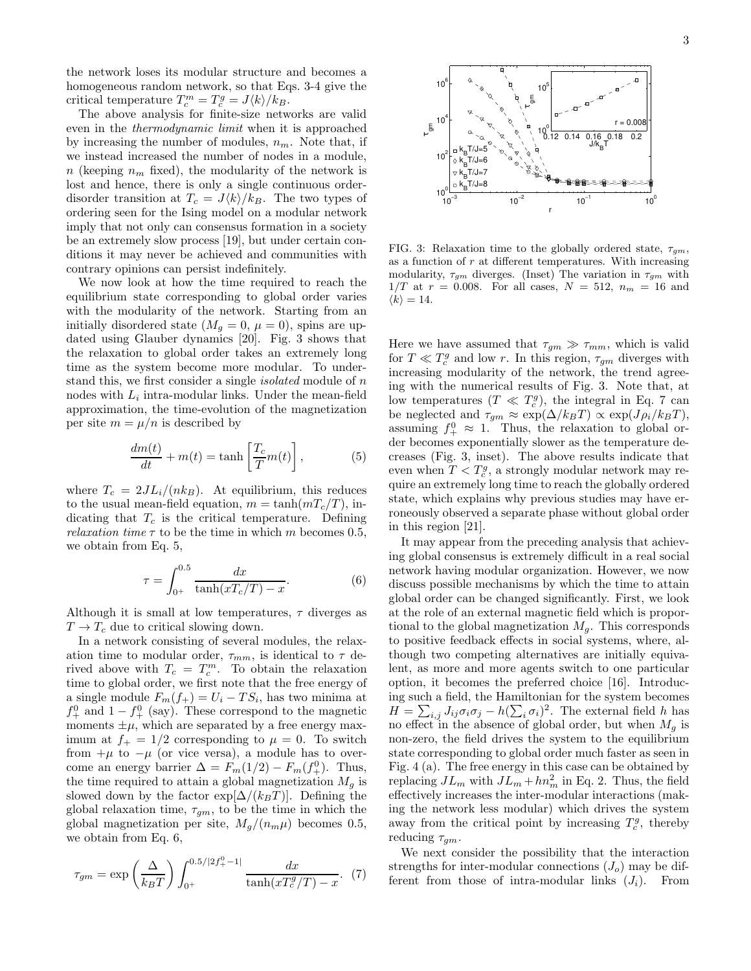the network loses its modular structure and becomes a homogeneous random network, so that Eqs. 3-4 give the critical temperature  $T_c^m = T_c^g = J \langle k \rangle / k_B$ .

The above analysis for finite-size networks are valid even in the thermodynamic limit when it is approached by increasing the number of modules,  $n_m$ . Note that, if we instead increased the number of nodes in a module, n (keeping  $n_m$  fixed), the modularity of the network is lost and hence, there is only a single continuous orderdisorder transition at  $T_c = J \langle k \rangle / k_B$ . The two types of ordering seen for the Ising model on a modular network imply that not only can consensus formation in a society be an extremely slow process [19], but under certain conditions it may never be achieved and communities with contrary opinions can persist indefinitely.

We now look at how the time required to reach the equilibrium state corresponding to global order varies with the modularity of the network. Starting from an initially disordered state  $(M_q = 0, \mu = 0)$ , spins are updated using Glauber dynamics [20]. Fig. 3 shows that the relaxation to global order takes an extremely long time as the system become more modular. To understand this, we first consider a single *isolated* module of n nodes with  $L_i$  intra-modular links. Under the mean-field approximation, the time-evolution of the magnetization per site  $m = \mu/n$  is described by

$$
\frac{dm(t)}{dt} + m(t) = \tanh\left[\frac{T_c}{T}m(t)\right],\tag{5}
$$

where  $T_c = 2JL_i/(nk_B)$ . At equilibrium, this reduces to the usual mean-field equation,  $m = \tanh(mT_c/T)$ , indicating that  $T_c$  is the critical temperature. Defining *relaxation time*  $\tau$  to be the time in which m becomes 0.5, we obtain from Eq. 5,

$$
\tau = \int_{0^+}^{0.5} \frac{dx}{\tanh(xT_c/T) - x}.
$$
 (6)

Although it is small at low temperatures,  $\tau$  diverges as  $T \rightarrow T_c$  due to critical slowing down.

In a network consisting of several modules, the relaxation time to modular order,  $\tau_{mm}$ , is identical to  $\tau$  derived above with  $T_c = T_c^m$ . To obtain the relaxation time to global order, we first note that the free energy of a single module  $F_m(f_+) = U_i - TS_i$ , has two minima at  $f_+^0$  and  $1 - f_+^0$  (say). These correspond to the magnetic moments  $\pm \mu$ , which are separated by a free energy maximum at  $f_+ = 1/2$  corresponding to  $\mu = 0$ . To switch from  $+\mu$  to  $-\mu$  (or vice versa), a module has to overcome an energy barrier  $\Delta = F_m(1/2) - F_m(f_+^0)$ . Thus, the time required to attain a global magnetization  $M<sub>g</sub>$  is slowed down by the factor  $\exp[\Delta/(k_BT)]$ . Defining the global relaxation time,  $\tau_{gm}$ , to be the time in which the global magnetization per site,  $M_q/(n_m\mu)$  becomes 0.5, we obtain from Eq. 6,

$$
\tau_{gm} = \exp\left(\frac{\Delta}{k_B T}\right) \int_{0^+}^{0.5/|2f_+^0 - 1|} \frac{dx}{\tanh(xT_c^g/T) - x}.
$$
 (7)



FIG. 3: Relaxation time to the globally ordered state,  $\tau_{qm}$ , as a function of  $r$  at different temperatures. With increasing modularity,  $\tau_{qm}$  diverges. (Inset) The variation in  $\tau_{qm}$  with  $1/T$  at  $r = 0.008$ . For all cases,  $N = 512$ ,  $n_m = 16$  and  $\langle k \rangle = 14.$ 

Here we have assumed that  $\tau_{qm} \gg \tau_{mm}$ , which is valid for  $T \ll T_c^g$  and low r. In this region,  $\tau_{gm}$  diverges with increasing modularity of the network, the trend agreeing with the numerical results of Fig. 3. Note that, at low temperatures  $(T \ll T_c^g)$ , the integral in Eq. 7 can be neglected and  $\tau_{gm} \approx \exp(\Delta/k_BT) \propto \exp(J\rho_i/k_BT)$ , assuming  $f_+^0 \approx 1$ . Thus, the relaxation to global order becomes exponentially slower as the temperature decreases (Fig. 3, inset). The above results indicate that even when  $T < T_c^g$ , a strongly modular network may require an extremely long time to reach the globally ordered state, which explains why previous studies may have erroneously observed a separate phase without global order in this region [21].

It may appear from the preceding analysis that achieving global consensus is extremely difficult in a real social network having modular organization. However, we now discuss possible mechanisms by which the time to attain global order can be changed significantly. First, we look at the role of an external magnetic field which is proportional to the global magnetization  $M<sub>g</sub>$ . This corresponds to positive feedback effects in social systems, where, although two competing alternatives are initially equivalent, as more and more agents switch to one particular option, it becomes the preferred choice [16]. Introducing such a field, the Hamiltonian for the system becomes  $H = \sum_{i,j} J_{ij} \sigma_i \sigma_j - h(\sum_i \sigma_i)^2$ . The external field h has no effect in the absence of global order, but when  $M_q$  is non-zero, the field drives the system to the equilibrium state corresponding to global order much faster as seen in Fig. 4 (a). The free energy in this case can be obtained by replacing  $JL_m$  with  $JL_m + hn_m^2$  in Eq. 2. Thus, the field effectively increases the inter-modular interactions (making the network less modular) which drives the system away from the critical point by increasing  $T_c^g$ , thereby reducing  $\tau_{qm}$ .

We next consider the possibility that the interaction strengths for inter-modular connections  $(J<sub>o</sub>)$  may be different from those of intra-modular links  $(J_i)$ . From